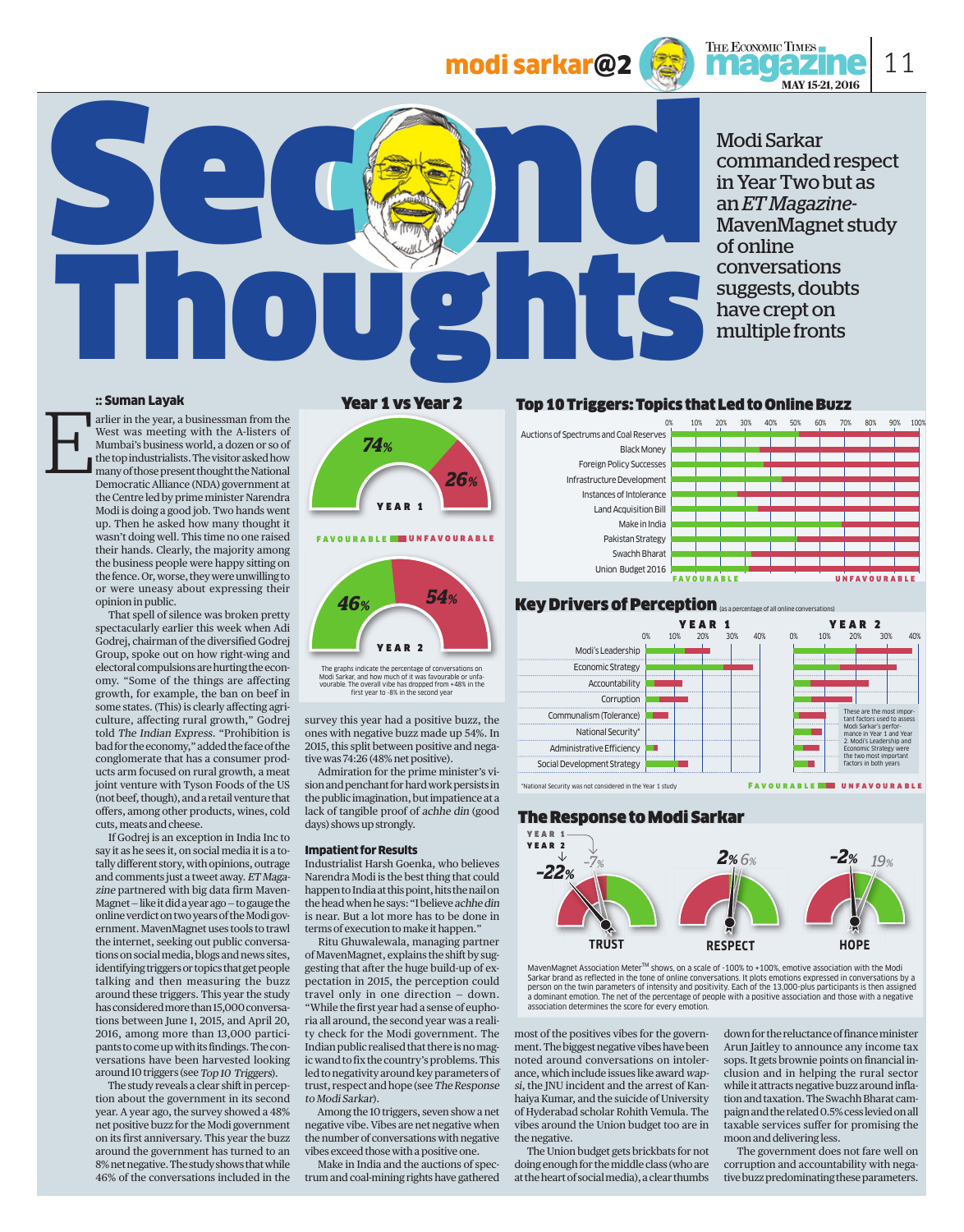# modi sarkar@2



Modi Sarkar commanded respect in Year Two but as an *ET Magazine-*MavenMagnet study of online conversations suggests, doubts have crept on multiple fronts

11

#### :: Suman Layak

E

arlier in the year, a businessman from the West was meeting with the A-listers of Mumbai's business world, a dozen or so of the top industrialists. The visitor asked how many of those present thought the National Democratic Alliance (NDA) government at the Centre led by prime minister Narendra Modi is doing a good job. Two hands went up. Then he asked how many thought it wasn't doing well. This time no one raised their hands. Clearly, the majority among the business people were happy sitting on the fence. Or, worse, they were unwilling to or were uneasy about expressing their opinion in public.

 That spell of silence was broken pretty spectacularly earlier this week when Adi Godrej, chairman of the diversified Godrej Group, spoke out on how right-wing and electoral compulsions are hurting the economy. "Some of the things are affecting growth, for example, the ban on beef in some states. (This) is clearly affecting agriculture, affecting rural growth," Godrej told The Indian Express. "Prohibition is bad for the economy," added the face of the conglomerate that has a consumer products arm focused on rural growth, a meat joint venture with Tyson Foods of the US (not beef, though), and a retail venture that offers, among other products, wines, cold cuts, meats and cheese.

 If Godrej is an exception in India Inc to say it as he sees it, on social media it is a totally different story, with opinions, outrage and comments just a tweet away. ET Magazine partnered with big data firm Maven-Magnet — like it did a year ago — to gauge the online verdict on two years of the Modi government. MavenMagnet uses tools to trawl the internet, seeking out public conversations on social media, blogs and news sites, identifying triggers or topics that get people talking and then measuring the buzz around these triggers. This year the study has considered more than 15,000 conversations between June 1, 2015, and April 20, 2016, among more than 13,000 participants to come up with its findings. The conversations have been harvested looking around 10 triggers (see Top 10 Triggers).

 The study reveals a clear shift in perception about the government in its second year. A year ago, the survey showed a 48% net positive buzz for the Modi government on its first anniversary. This year the buzz around the government has turned to an 8% net negative. The study shows that while 46% of the conversations included in the

#### Year 1 vs Year 2

Thoughts



The graphs indicate the percentage of conversations on<br>Modi Sarkar, and how much of it was favourable or unfa-<br>vourable. The overall vibe has dropped from +48% in the<br>first year to -8% in the second year

survey this year had a positive buzz, the ones with negative buzz made up 54%. In 2015, this split between positive and negative was 74:26 (48% net positive).

 Admiration for the prime minister's vision and penchant for hard work persists in the public imagination, but impatience at a lack of tangible proof of achhe din (good days) shows up strongly.

#### Impatient for Results

Industrialist Harsh Goenka, who believes Narendra Modi is the best thing that could happen to India at this point, hits the nail on the head when he says: "I believe achhe din is near. But a lot more has to be done in terms of execution to make it happen."

 Ritu Ghuwalewala, managing partner of MavenMagnet, explains the shift by suggesting that after the huge build-up of expectation in 2015, the perception could travel only in one direction — down. "While the first year had a sense of euphoria all around, the second year was a reality check for the Modi government. The Indian public realised that there is no magic wand to fix the country's problems. This led to negativity around key parameters of trust, respect and hope (see The Response to Modi Sarkar).

 Among the 10 triggers, seven show a net negative vibe. Vibes are net negative when the number of conversations with negative vibes exceed those with a positive one.

 Make in India and the auctions of spectrum and coal-mining rights have gathered

#### Top 10 Triggers: Topics that Led to Online Buzz







### The Response to Modi Sarkar



MavenMagnet Association Meter<sup>TM</sup> shows, on a scale of -100% to +100%, emotive association with the Modi<br>Sarkar brand as reflected in the tone of online conversations. It plots emotions expressed in conversations by a person on the twin parameters of intensity and positivity. Each of the 13,000-plus participants is then assigned a dominant emotion. The net of the percentage of people with a positive association and those with a negative<br>association determines the score for every emotion.

most of the positives vibes for the government. The biggest negative vibes have been noted around conversations on intolerance, which include issues like award wapsi, the JNU incident and the arrest of Kanhaiya Kumar, and the suicide of University of Hyderabad scholar Rohith Vemula. The vibes around the Union budget too are in the negative.

 The Union budget gets brickbats for not doing enough for the middle class (who are at the heart of social media), a clear thumbs

down for the reluctance of finance minister Arun Jaitley to announce any income tax sops. It gets brownie points on financial inclusion and in helping the rural sector while it attracts negative buzz around inflation and taxation. The Swachh Bharat campaign and the related 0.5% cess levied on all taxable services suffer for promising the moon and delivering less.

 The government does not fare well on corruption and accountability with negative buzz predominating these parameters.